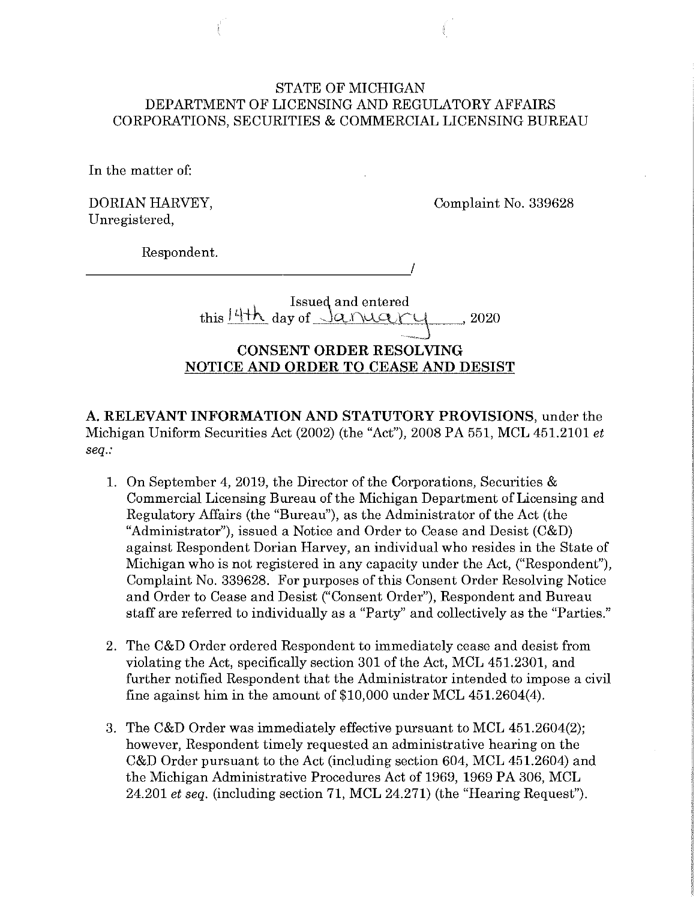## STATE OF MICHIGAN DEPARTMENT OF LICENSING AND REGULATORY AFFAIRS CORPORATIONS, SECURITIES & COMMERCIAL LICENSING BUREAU

In the matter of:

DORIAN HARVEY, Unregistered,

Complaint No. 339628

Respondent. -------------------~/

> Issued and entered this  $14th$  day of  $\sqrt{a}$ nuary , 2020

# **CONSENT ORDER RESOLVING NOTICE AND ORDER TO CEASE AND DESIST**

**A. RELEVANT INFORMATION AND STATUTORY PROVISIONS,** under the Michigan Uniform Securities Act (2002) (the "Act"), 2008 PA 551, MCL 451.2101 *et seq.:* 

- 1. On September 4, 2019, the Director of the Corporations, Securities & Commercial Licensing Bureau of the Michigan Department of Licensing and Regulatory Affairs (the "Bureau"), as the Administrator of the Act (the "Administrator"), issued a Notice and Order to Cease and Desist (C&D) against Respondent Dorian Harvey, an individual who resides in the State of Michigan who is not registered in any capacity under the Act, ("Respondent"), Complaint No. 339628. For purposes of this Consent Order Resolving Notice and Order to Cease and Desist ("Consent Order"), Respondent and Bureau staff are referred to individually as a "Party" and collectively as the "Parties."
- 2. The C&D Order ordered Respondent to immediately cease and desist from violating the Act, specifically section 301 of the Act, MCL 451.2301, and further notified Respondent that the Administrator intended to impose a civil fine against him in the amount of \$10,000 under MCL 451.2604(4).
- 3. The C&D Order was immediately effective pursuant to MCL 451.2604(2); however, Respondent timely requested an administrative hearing on the C&D Order pursuant to the Act (including section 604, MCL 451.2604) and the Michigan Administrative Procedures Act of 1969, 1969 PA 306, MCL 24.201 *et seq.* (including section 71, MCL 24.271) (the "Hearing Request").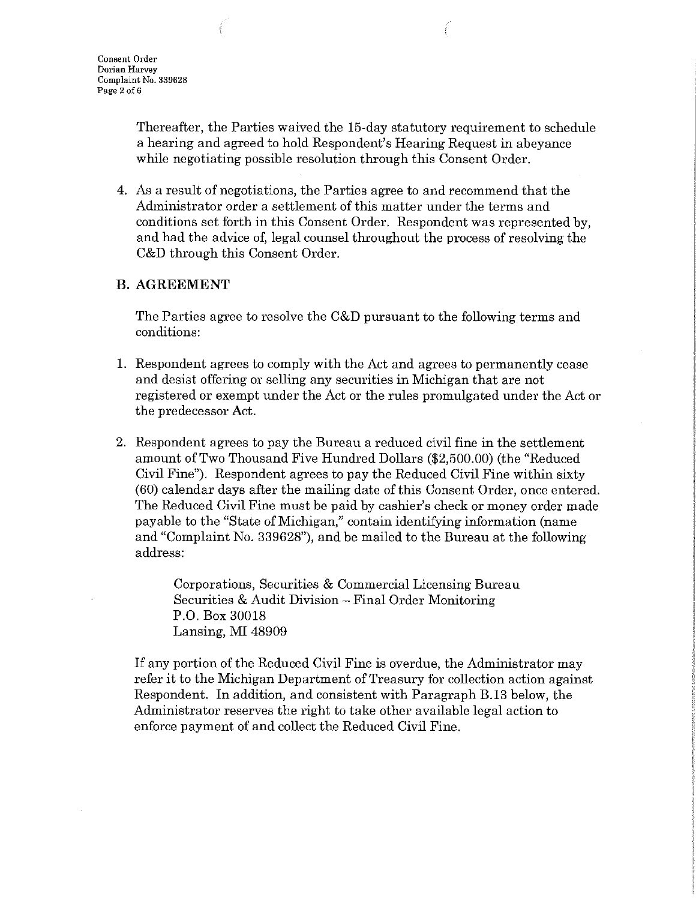Thereafter, the Parties waived the 15-day statutory requirement to schedule a hearing and agreed to hold Respondent's Hearing Request in abeyance while negotiating possible resolution through this Consent Order.

4. As a result of negotiations, the Parties agree to and recommend that the Administrator order a settlement of this matter under the terms and conditions set forth in this Consent Order. Respondent was represented by, and had the advice of, legal counsel throughout the process of resolving the C&D through this Consent Order.

## **B.AGREEMENT**

The Parties agree to resolve the C&D pursuant to the following terms and conditions:

- 1. Respondent agrees to comply with the Act and agrees to permanently cease and desist offering or selling any securities in Michigan that are not registered or exempt under the Act or the rules promulgated under the Act or the predecessor Act.
- 2. Respondent agrees to pay the Bureau a reduced civil fine in the settlement amount of Two Thousand Five Hundred Dollars (\$2,500.00) (the "Reduced Civil Fine"). Respondent agrees to pay the Reduced Civil Fine within sixty (60) calendar days after the mailing date of this Consent Order, once entered. The Reduced Civil Fine must be paid by cashier's check or money order made payable to the "State of Michigan," contain identifying information (name and "Complaint No. 339628"), and be mailed to the Bureau at the following address:

Corporations, Securities & Commercial Licensing Bureau Securities & Audit Division - Final Order Monitoring P.O. Box 30018 Lansing, MI 48909

If any portion of the Reduced Civil Fine is overdue, the Administrator may refer it to the Michigan Department of Treasury for collection action against Respondent. In addition, and consistent with Paragraph B.13 below, the Administrator reserves the right to take other available legal action to enforce payment of and collect the Reduced Civil Fine.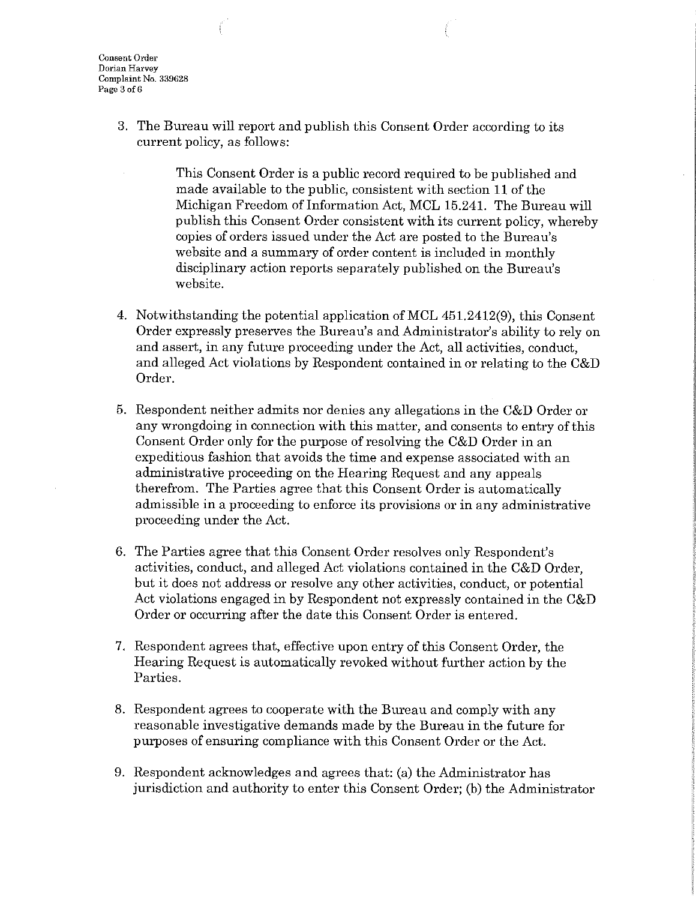**Consent Order Dorian Harvey Complaint No. 339628 Page 3 of6** 

> 3. The Bureau will report and publish this Consent Order according to its current policy, as follows:

> > This Consent Order is a public record required to be published and made available to the public, consistent with section 11 of the Michigan Freedom of Information Act, MCL 15.241. The Bureau will publish this Consent Order consistent with its current policy, whereby copies of orders issued under the Act are posted to the Bureau's website and a summary of order content is included in monthly disciplinary action reports separately published on the Bureau's website.

- 4. Notwithstanding the potential application ofMCL 451.2412(9), this Consent Order expressly preserves the Bureau's and Administrator's ability to rely on and assert, in any future proceeding under the Act, all activities, conduct, and alleged Act violations by Respondent contained in or relating to the C&D Order.
- 5. Respondent neither admits nor denies any allegations in the C&D Order or any wrongdoing in connection with this matter, and consents to entry of this Consent Order only for the purpose of resolving the C&D Order in an expeditious fashion that avoids the time and expense associated with an administrative proceeding on the Hearing Request and any appeals therefrom. The Parties agree that this Consent Order is automatically admissible in a proceeding to enforce its provisions or in any administrative proceeding under the Act.
- 6. The Parties agree that this Consent Order resolves only Respondent's activities, conduct, and alleged Act violations contained in the C&D Order, but it does not address or resolve any other activities, conduct, or potential Act violations engaged in by Respondent not expressly contained in the C&D Order or occurring after the date this Consent Order is entered.
- 7. Respondent agrees that, effective upon entry of this Consent Order, the Hearing Request is automatically revoked without further action by the Parties.
- 8. Respondent agrees to cooperate with the Bureau and comply with any reasonable investigative demands made by the Bureau in the future for purposes of ensuring compliance with this Consent Order or the Act.
- 9. Respondent acknowledges and agrees that: (a) the Administrator has jurisdiction and authority to enter this Consent Order; (b) the Administrator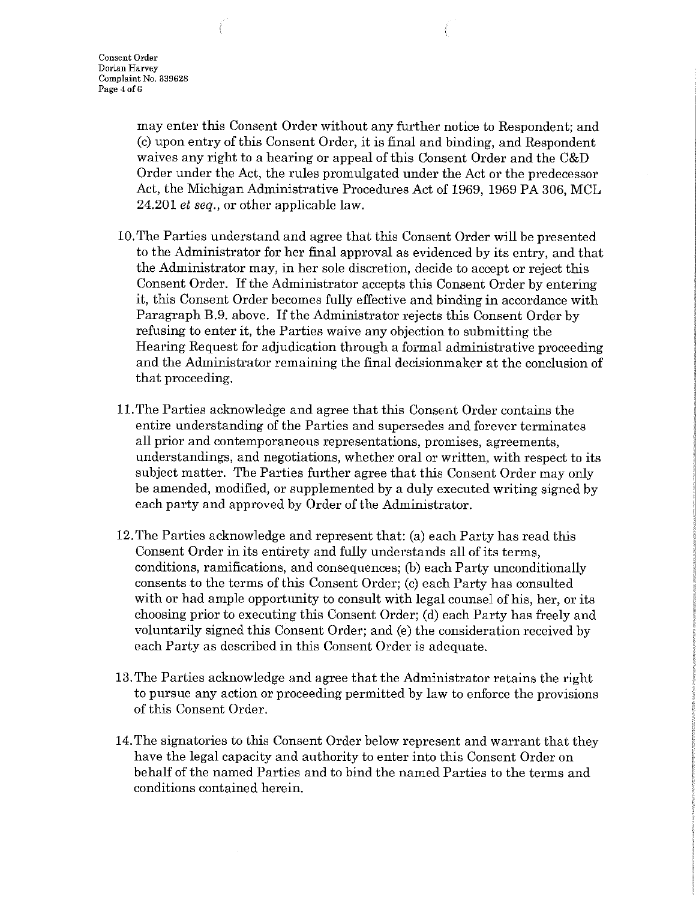may enter this Consent Order without any further notice to Respondent; and (c) upon entry of this Consent Order, it is final and binding, and Respondent waives any right to a hearing or appeal of this Consent Order and the C&D Order under the Act, the rules promulgated under the Act or the predecessor Act, the Michigan Administrative Procedures Act of 1969, 1969 PA 306, MCL 24.201 *et seq.,* or other applicable law.

- 10. The Parties understand and agree that this Consent Order will be presented to the Administrator for her final approval as evidenced by its entry, and that the Administrator may, in her sole discretion, decide to accept or reject this Consent Order. If the Administrator accepts this Consent Order by entering it, this Consent Order becomes fully effective and binding in accordance with Paragraph B.9. above. If the Administrator rejects this Consent Order by refusing to enter it, the Parties waive any objection to submitting the Hearing Request for adjudication through a formal administrative proceeding and the Administrator remaining the final decisionmaker at the conclusion of that proceeding.
- 11.The Parties acknowledge and agree that this Consent Order contains the entire understanding of the Parties and supersedes and forever terminates all prior and contemporaneous representations, promises, agreements, understandings, and negotiations, whether oral or written, with respect to its subject matter. The Parties further agree that this Consent Order may only be amended, modified, or supplemented by a duly executed writing signed by each party and approved by Order of the Administrator.
- 12. The Parties acknowledge and represent that: (a) each Party has read this Consent Order in its entirety and fully understands all of its terms, conditions, ramifications, and consequences; (b) each Party unconditionally consents to the terms of this Consent Order; (c) each Party has consulted with or had ample opportunity to consult with legal counsel of his, her, or its choosing prior to executing this Consent Order; (d) each Party has freely and voluntarily signed this Consent Order; and (e) the consideration received by each Party as described in this Consent Order is adequate.
- 13. The Parties acknowledge and agree that the Administrator retains the right to pursue any action or proceeding permitted by law to enforce the provisions of this Consent Order.
- 14. The signatories to this Consent Order below represent and warrant that they have the legal capacity and authority to enter into this Consent Order on behalf of the named Parties and to bind the named Parties to the terms and conditions contained herein.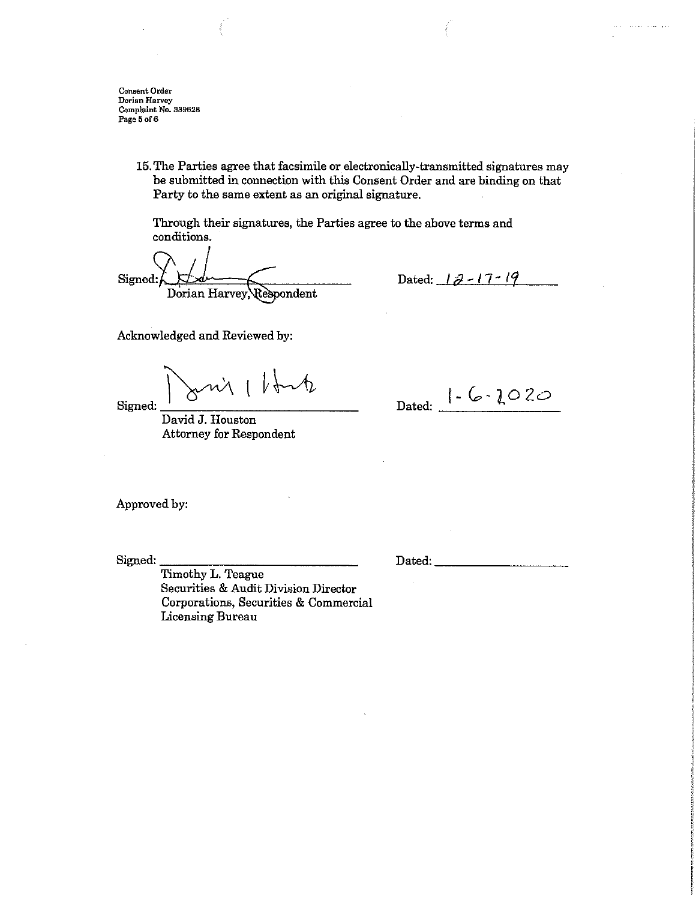**Consent Order Dorian Harvey Complaint No. B39628**  Page 5 of 6

> 15. The Parties agree that facsimile or electronically-transmitted signatures may be submitted in connection with this Consent Order and are binding on that Party to the same extent as an original signature.

Through their signatures, the Parties agree to the above terms and conditions.

Signed: Dorian Harvey, Respondent

Dated:  $12 - 17 - 19$ 

and an income of

Acknowledged and Reviewed by:

 $Signed:$   $\frac{1}{2}$   $\frac{1}{2}$   $\frac{1}{2}$   $\frac{1}{2}$   $\frac{1}{2}$   $\frac{1}{2}$   $\frac{1}{2}$   $\frac{1}{2}$   $\frac{1}{2}$   $\frac{1}{2}$   $\frac{1}{2}$   $\frac{1}{2}$   $\frac{1}{2}$   $\frac{1}{2}$   $\frac{1}{2}$   $\frac{1}{2}$   $\frac{1}{2}$   $\frac{1}{2}$   $\frac{1}{2}$   $\frac{1}{2}$   $\frac{1}{2}$   $\frac{1$  $\sim$   $\sim$   $\sim$   $\sim$ 

David J. Houston Attorney for Respondent

Dated:  $1 - C \cdot 202$ 

Approved by:

Signed: \_\_\_\_\_\_\_\_\_\_\_\_\_ \_

Dated:  $\Box$ 

Timothy L. Teague Securities & Audit Division Director Corporations, Securities & Commercial Licensing Bureau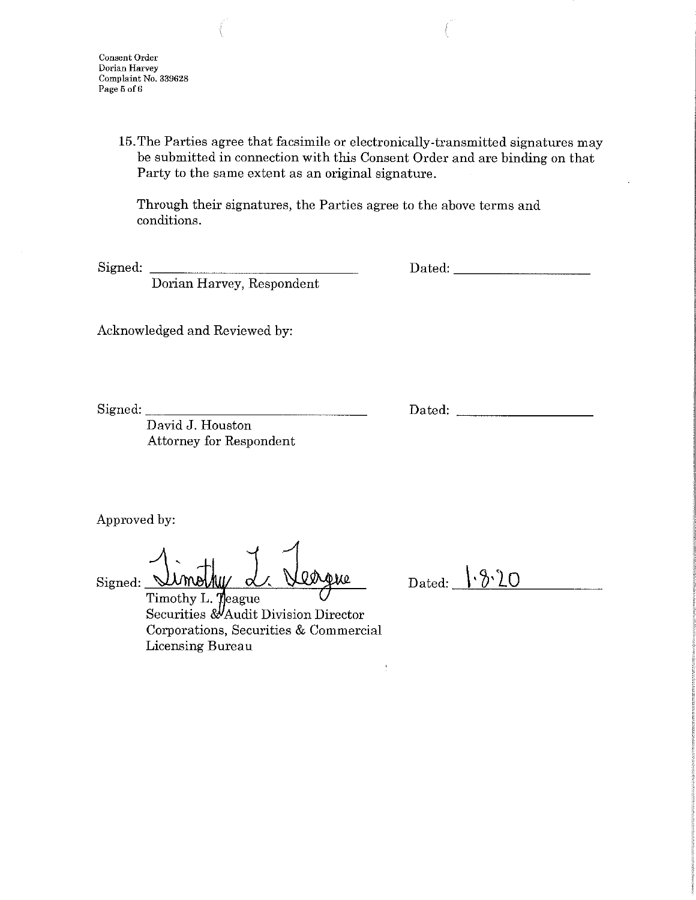**Consent Order Dorian Harvey Complaint** No. **339628 Page 5 of6** 

> 15. The Parties agree that facsimile or electronically-transmitted signatures may be submitted in connection with this Consent Order and are binding on that Party to the same extent as an original signature.

> > $\ddot{\cdot}$

Through their signatures, the Parties agree to the above terms and conditions.

Signed:

Dated: \_\_\_\_\_\_\_\_ \_

Dorian Harvey, Respondent

Acknowledged and Reviewed by:

Signed: \_\_\_\_\_\_\_\_\_\_\_\_\_\_ \_

Dated: \_\_\_\_\_\_\_\_ \_

David J. Houston Attorney for Respondent

Approved by:

Signed: Umolky d. Vergue

Dated:  $\{ \cdot \partial \cdot \partial Q$ 

Timothy L. Teague Securities & Audit Division Director Corporations, Securities & Commercial Licensing Bureau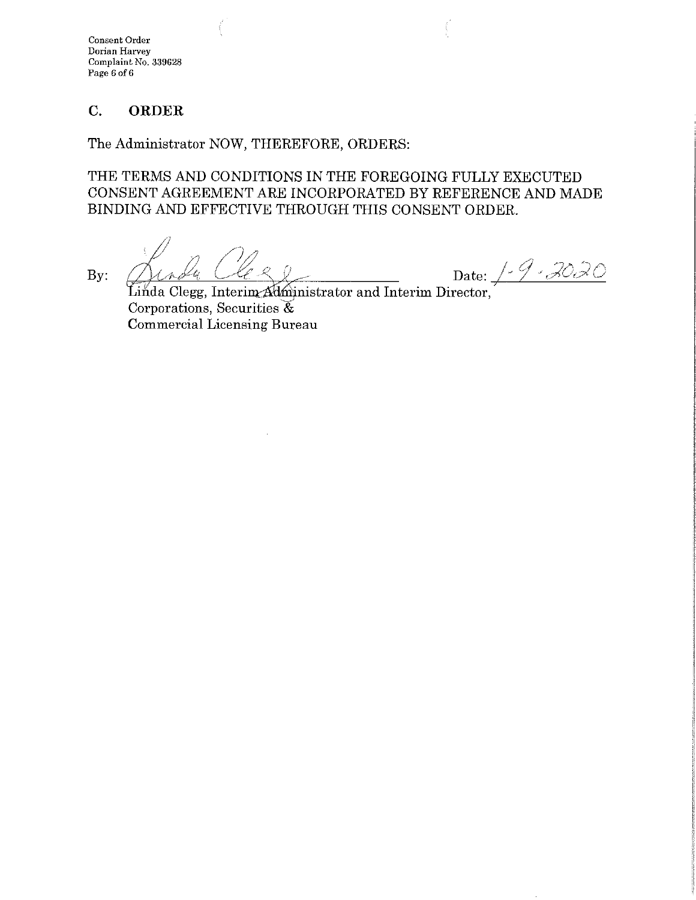**Consent Order Dorian Harvey Complaint** No. **339628 Page 6 of6** 

# **C. ORDER**

The Administrator NOW, THEREFORE, ORDERS:

THE TERMS AND CONDITIONS IN THE FOREGOING FULLY EXECUTED CONSENT AGREEMENT ARE INCORPORATED BY REFERENCE AND MADE BINDING AND EFFECTIVE THROUGH THIS CONSENT ORDER.

By: Deal Cleese Date: 1-9-2020

Linda Clegg, Interim  $\Delta$ dministrator and Interim Director, Corporations, Securities  $\mathfrak{F}$ Commercial Licensing Bureau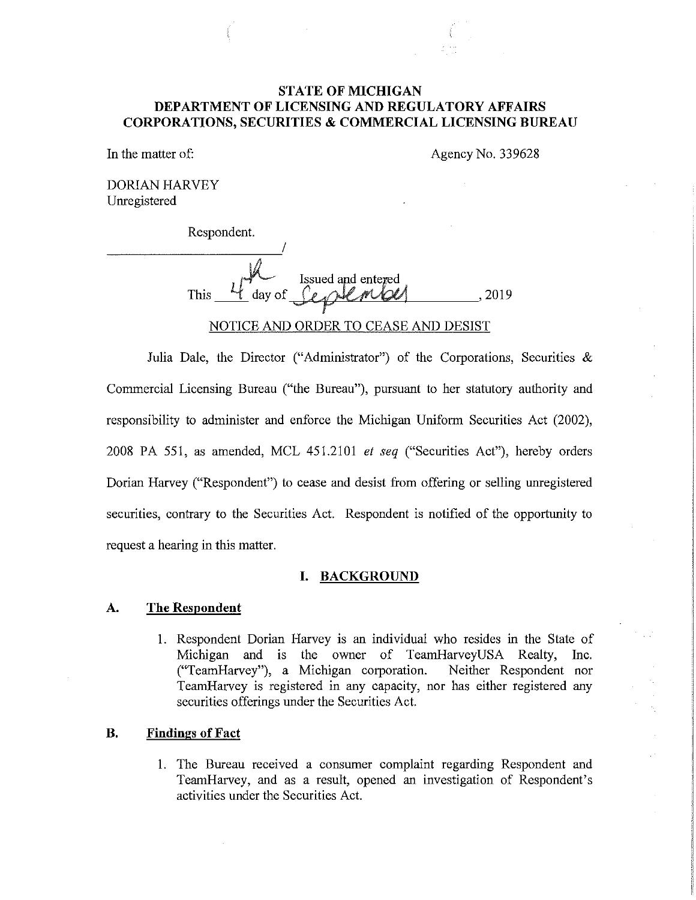## **STATE OF MICHIGAN DEPARTMENT OF LICENSING AND REGULATORY AFFAIRS CORPORATIONS, SECURITIES & COMMERCIAL LICENSING BUREAU**

In the matter of:

Agency No. 339628

DORIAN HARVEY Unregistered

| Respondent.    |                                |
|----------------|--------------------------------|
|                |                                |
| day of<br>This | Issued and entered<br>--<br>長い |
|                |                                |

Julia Dale, the Director ("Administrator") of the Corporations, Securities & Commercial Licensing Bureau ("the Bureau"), pursuant to her statutory authority and responsibility to administer and enforce the Michigan Unifotm Securities Act (2002), 2008 PA 551, as amended, MCL 451.2101 *et seq* ("Securities Act"), hereby orders Dorian Harvey ("Respondent") to cease and desist from offering or selling unregistered securities, contrary to the Securities Act. Respondent is notified of the opportunity to request a hearing in this matter.

### **I. BACKGROUND**

### **A. The Respondent**

1. Respondent Dorian Harvey is an individual who resides in the State of Michigan and is the owner of TeamHarveyUSA Realty, Inc. ("TeamHarvey"), a Michigan corporation. Neither Respondent nor TeamHarvey is registered in any capacity, nor has either registered any securities offerings under the Securities Act.

### **B. Findings of Fact**

1. The Bureau received a consumer complaint regarding Respondent and TeamHarvey, and as a result, opened an investigation of Respondent's activities under the Securities Act.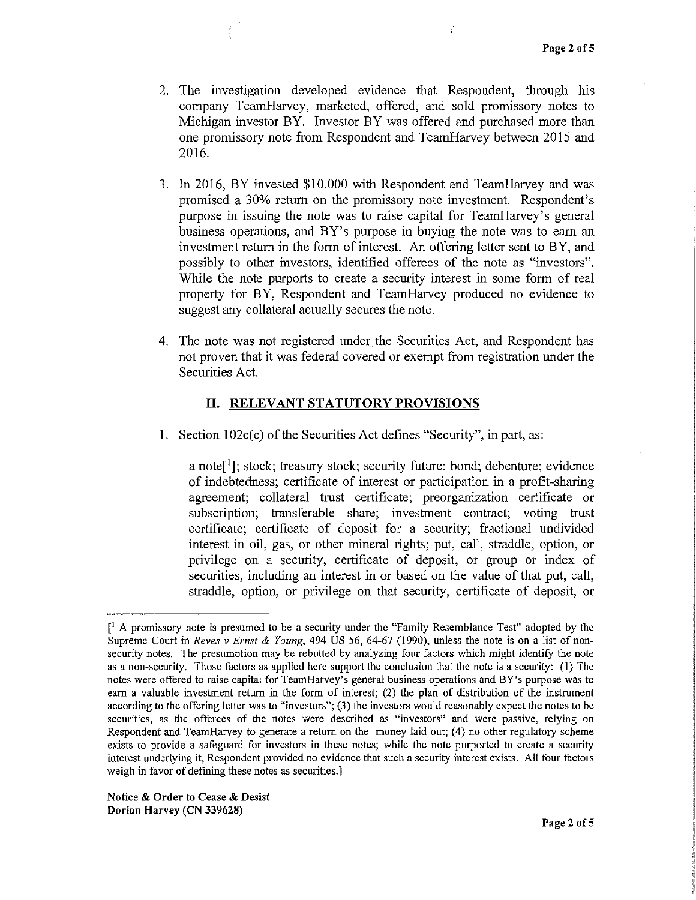- 2. The investigation developed evidence that Respondent, through his company TeamHarvey, marketed, offered, and sold promissory notes to Michigan investor BY. Investor BY was offered and purchased more than one promissory note from Respondent and TearnHarvey between 2015 and 2016.
- 3. In 2016, BY invested \$10,000 with Respondent and TearnHarvey and was promised a 30% return on the promissory note investment. Respondent's purpose in issuing the note was to raise capital for TeamHarvey's general business operations, and BY's purpose in buying the note was to earn an investment return in the form of interest. An offering letter sent to BY, and possibly to other investors, identified offerees of the note as "investors". While the note purports to create a security interest in some form of real property for BY, Respondent and TeamHarvey produced no evidence to suggest any collateral actually secures the note.
- 4. The note was not registered under the Securities Act, and Respondent has not proven that it was federal covered or exempt from registration under the Securities Act.

## **II. RELEVANT STATUTORY PROVISIONS**

1. Section 102c(c) of the Securities Act defines "Security", in part, as:

a note<sup>[1</sup>]; stock; treasury stock; security future; bond; debenture; evidence of indebtedness; certificate of interest or participation in a profit-sharing agreement; collateral trust certificate; preorganization certificate or subscription; transferable share; investment contract; voting trust certificate; certificate of deposit for a security; fractional undivided interest in oil, gas, or other mineral rights; put, call, straddle, option, or privilege on a security, certificate of deposit, or group or index of securities, including an interest in or based on the value of that put, call, straddle, option, or privilege on that security, certificate of deposit, or

 $\int_A^1 A$  promissory note is presumed to be a security under the "Family Resemblance Test" adopted by the Supreme Court in *Reves v Ernst* & *Young,* 494 US 56, 64-67 (1990), unless the note is on a list of nonsecurity notes. The presumption may be rebutted by analyzing four factors which might identify the note as a non-security. Those factors as applied here support the conclusion that the note is a security: (I) The notes were offered to raise capital for TearnHarvey's general business operations and BY's purpose was to earn a valuable investment return in the form of interest; (2) the plan of distribution of the instrument according to the offering letter was to "investors"; (3) the investors would reasonably expect the notes to be securities, as the offerees of the notes were described as "investors" and were passive, relying on Respondent and TeamHarvey to generate a return on the money laid out; (4) no other regulatory scheme **exists to provide a safeguard for investors in these notes; while the note purported to create a security**  interest underlying it, Respondent provided no evidence that such a security interest exists. All four factors weigh in favor of defining these notes as securities.]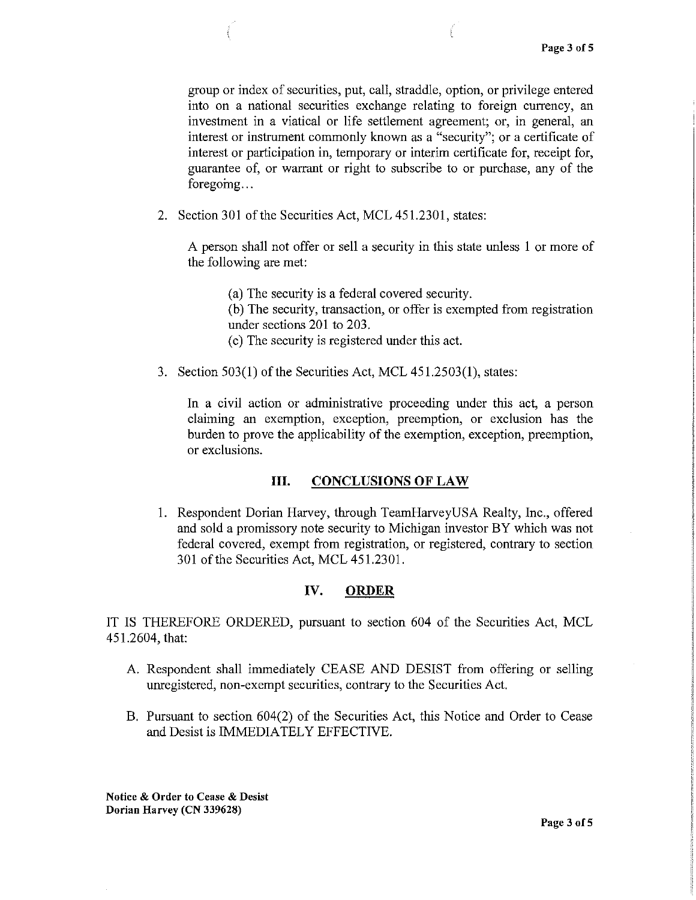group or index of securities, put, call, straddle, option, or privilege entered into on a national securities exchange relating to foreign currency, an investment in a viatical or life settlement agreement; or, in general, an interest or instrument commonly known as a "security"; or a certificate of interest or participation in, temporary or interim certificate for, receipt for, guarantee of, or warrant or right to subscribe to or purchase, any of the foregoing...

2. Section 301 of the Securities Act, MCL 451.2301, states:

A person shall not offer or sell a security in this state unless I or more of the following are met:

(a) The security is a federal covered security.

(b) The security, transaction, or offer is exempted from registration under sections 201 to 203.

( c) The security is registered under this act.

3. Section 503(1) of the Securities Act, MCL 451.2503(1), states:

In a civil action or administrative proceeding under this act, a person claiming an exemption, exception, preemption, or exclusion has the burden to prove the applicability of the exemption, exception, preemption, or exclusions.

## **III. CONCLUSIONS OF LAW**

1. Respondent Dorian Harvey, through TeamHarveyUSA Realty, Inc., offered and sold a promissory note security to Michigan investor BY which was not federal covered, exempt from registration, or registered, contrary to section 301 of the Securities Act, MCL 451.2301.

#### **IV. ORDER**

IT IS THEREFORE ORDERED, pursuant to section 604 of the Securities Act, MCL 451.2604, that:

- A. Respondent shall immediately CEASE AND DESIST from offering or selling umegistered, non-exempt securities, contrary to the Securities Act.
- B. Pursuant to section 604(2) of the Securities Act, this Notice and Order to Cease and Desist is IMMEDIATELY EFFECTIVE.

**Notice** & **Order to Cease** & **Desist Dorian Harvey (CN 339628)**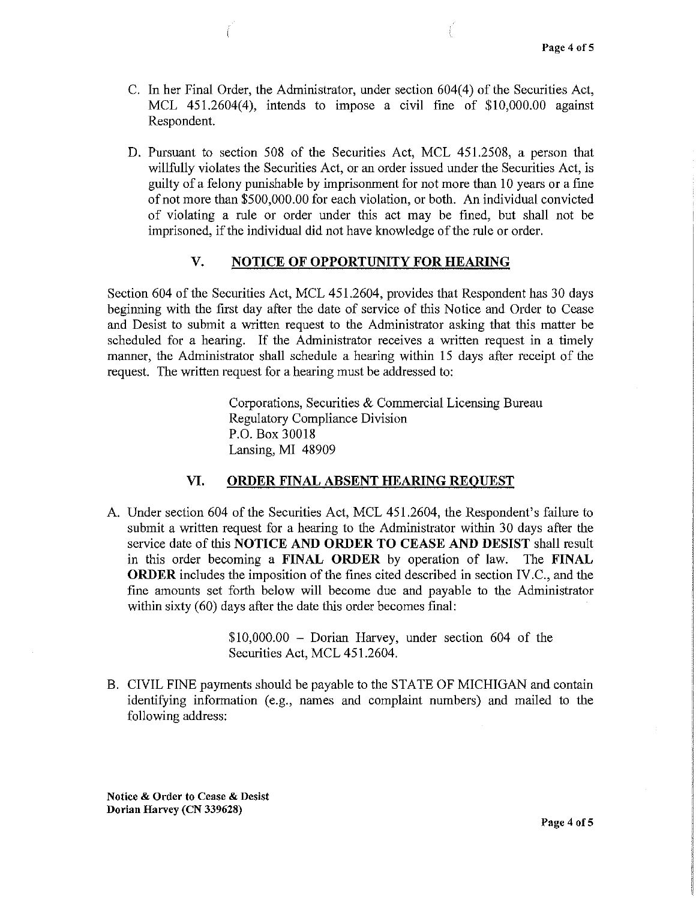- C. In her Final Order, the Administrator, under section 604(4) of the Securities Act, MCL 451.2604(4), intends to impose a civil fine of \$10,000.00 against Respondent.
- D. Pursuant to section 508 of the Securities Act, MCL 451.2508, a person that willfully violates the Securities Act, or an order issued under the Securities Act, is guilty of a felony punishable by imprisonment for not more than 10 years or a fine of not more than \$500,000.00 for each violation, or both. An individual convicted of violating a rule or order under this act may be fined, but shall not be imprisoned, if the individual did not have knowledge of the rule or order.

### **V. NOTICE OF OPPORTUNITY FOR HEARING**

Section 604 of the Securities Act, MCL 451.2604, provides that Respondent has 30 days beginning with the first day after the date of service of this Notice and Order to Cease and Desist to submit a written request to the Administrator asking that this matter be scheduled for a hearing. If the Administrator receives a written request in a timely manner, the Administrator shall schedule a hearing within 15 days after receipt of the request. The written request for a hearing must be addressed to:

> Corporations, Securities & Commercial Licensing Bureau Regulatory Compliance Division P.O. Box 30018 Lansing, MI 48909

#### **VI. ORDER FINAL ABSENT HEARING REQUEST**

A. Under section 604 of the Securities Act, MCL 451.2604, the Respondent's failure to submit a written request for a hearing to the Administrator within 30 days after the service date of this **NOTICE AND ORDER TO CEASE AND DESIST** shall result in this order becoming a **FINAL ORDER** by operation of law. The **FINAL ORDER** includes the imposition of the fines cited described in section IV.C., and the fine amounts set forth below will become due and payable to the Administrator within sixty (60) days after the date this order becomes final:

> \$10,000.00 - Dorian Harvey, under section 604 of the Securities Act, MCL 451.2604.

B. CIVIL FINE payments should be payable to the STATE OF MICHIGAN and contain identifying information (e.g., names and complaint numbers) and mailed to the following address:

**Notice** & **Order to Cease** & **Desist Dorian Harvey (CN 339628)**